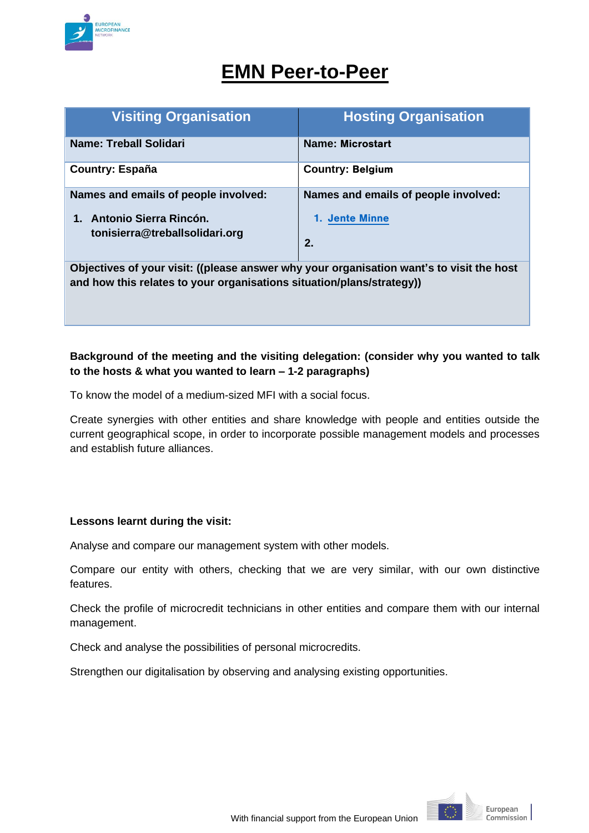

# **EMN Peer-to-Peer**

| <b>Visiting Organisation</b>                                                                                                                                      | <b>Hosting Organisation</b>          |  |  |  |
|-------------------------------------------------------------------------------------------------------------------------------------------------------------------|--------------------------------------|--|--|--|
| <b>Name: Treball Solidari</b>                                                                                                                                     | <b>Name: Microstart</b>              |  |  |  |
| <b>Country: España</b>                                                                                                                                            | <b>Country: Belgium</b>              |  |  |  |
| Names and emails of people involved:                                                                                                                              | Names and emails of people involved: |  |  |  |
| Antonio Sierra Rincón.<br>$\mathbf 1$ .                                                                                                                           | <b>1. Jente Minne</b>                |  |  |  |
| tonisierra@treballsolidari.org                                                                                                                                    | 2.                                   |  |  |  |
| Objectives of your visit: ((please answer why your organisation want's to visit the host<br>and how this relates to your organisations situation/plans/strategy)) |                                      |  |  |  |

# **Background of the meeting and the visiting delegation: (consider why you wanted to talk to the hosts & what you wanted to learn – 1-2 paragraphs)**

To know the model of a medium-sized MFI with a social focus.

Create synergies with other entities and share knowledge with people and entities outside the current geographical scope, in order to incorporate possible management models and processes and establish future alliances.

## **Lessons learnt during the visit:**

Analyse and compare our management system with other models.

Compare our entity with others, checking that we are very similar, with our own distinctive features.

Check the profile of microcredit technicians in other entities and compare them with our internal management.

Check and analyse the possibilities of personal microcredits.

Strengthen our digitalisation by observing and analysing existing opportunities.

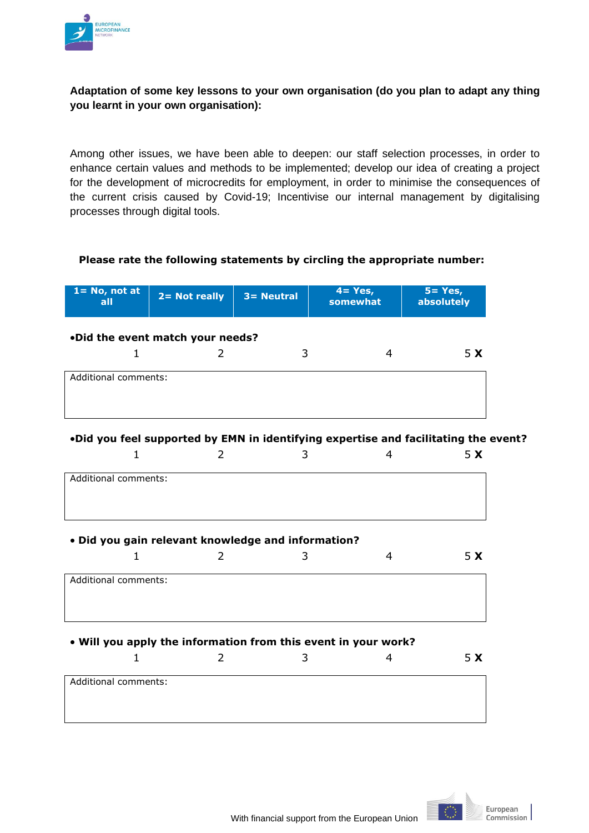

# **Adaptation of some key lessons to your own organisation (do you plan to adapt any thing you learnt in your own organisation):**

Among other issues, we have been able to deepen: our staff selection processes, in order to enhance certain values and methods to be implemented; develop our idea of creating a project for the development of microcredits for employment, in order to minimise the consequences of the current crisis caused by Covid-19; Incentivise our internal management by digitalising processes through digital tools.

### **Please rate the following statements by circling the appropriate number:**

| $1 = No$ , not at<br>all | $2 = Not really$                                   | $3 =$ Neutral | $4 = Yes,$<br>somewhat                                                              | $5 = Yes,$<br>absolutely |
|--------------------------|----------------------------------------------------|---------------|-------------------------------------------------------------------------------------|--------------------------|
|                          | .Did the event match your needs?                   |               |                                                                                     |                          |
| $\mathbf{1}$             | 2                                                  | 3             | 4                                                                                   | 5 <sub>x</sub>           |
| Additional comments:     |                                                    |               |                                                                                     |                          |
|                          |                                                    |               |                                                                                     |                          |
|                          |                                                    |               |                                                                                     |                          |
|                          |                                                    |               | .Did you feel supported by EMN in identifying expertise and facilitating the event? |                          |
| 1                        | 2                                                  | 3             | $\overline{4}$                                                                      | 5 <sub>x</sub>           |
| Additional comments:     |                                                    |               |                                                                                     |                          |
|                          |                                                    |               |                                                                                     |                          |
|                          |                                                    |               |                                                                                     |                          |
|                          | . Did you gain relevant knowledge and information? |               |                                                                                     |                          |
| $\mathbf{1}$             | $\overline{2}$                                     | 3             | 4                                                                                   | 5 <sub>x</sub>           |
| Additional comments:     |                                                    |               |                                                                                     |                          |
|                          |                                                    |               |                                                                                     |                          |
|                          |                                                    |               |                                                                                     |                          |
|                          |                                                    |               | . Will you apply the information from this event in your work?                      |                          |
| $\mathbf{1}$             | 2                                                  | 3             | $\overline{4}$                                                                      | 5 <sub>x</sub>           |
| Additional comments:     |                                                    |               |                                                                                     |                          |
|                          |                                                    |               |                                                                                     |                          |
|                          |                                                    |               |                                                                                     |                          |